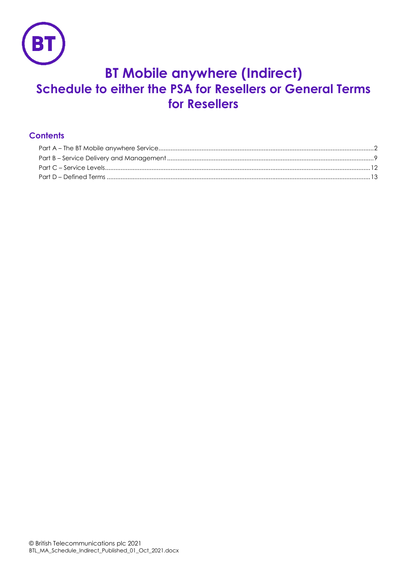

# **BT Mobile anywhere (Indirect) Schedule to either the PSA for Resellers or General Terms for Resellers**

# **Contents**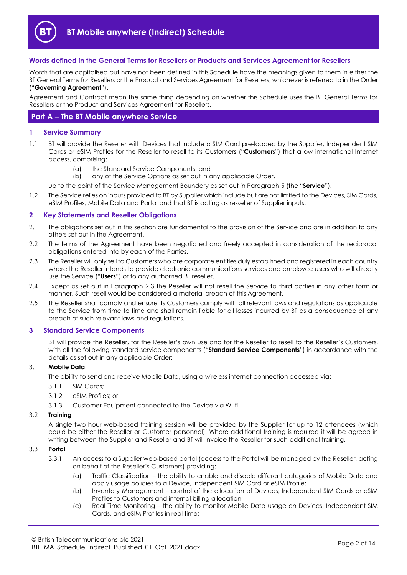

# **Words defined in the General Terms for Resellers or Products and Services Agreement for Resellers**

Words that are capitalised but have not been defined in this Schedule have the meanings given to them in either the BT General Terms for Resellers or the Product and Services Agreement for Resellers, whichever is referred to in the Order ("**Governing Agreement**").

Agreement and Contract mean the same thing depending on whether this Schedule uses the BT General Terms for Resellers or the Product and Services Agreement for Resellers.

# <span id="page-1-0"></span>**Part A – The BT Mobile anywhere Service**

#### **1 Service Summary**

- 1.1 BT will provide the Reseller with Devices that include a SIM Card pre-loaded by the Supplier, Independent SIM Cards or eSIM Profiles for the Reseller to resell to its Customers ("**Customer**s") that allow international Internet access, comprising:
	- (a) the Standard Service Components; and
	- (b) any of the Service Options as set out in any applicable Order,

up to the point of the Service Management Boundary as set out in Paragraph 5 (the **"Service**").

1.2 The Service relies on inputs provided to BT by Supplier which include but are not limited to the Devices, SIM Cards, eSIM Profiles, Mobile Data and Portal and that BT is acting as re-seller of Supplier inputs.

#### <span id="page-1-2"></span>**2 Key Statements and Reseller Obligations**

- 2.1 The obligations set out in this section are fundamental to the provision of the Service and are in addition to any others set out in the Agreement.
- 2.2 The terms of the Agreement have been negotiated and freely accepted in consideration of the reciprocal obligations entered into by each of the Parties.
- 2.3 The Reseller will only sell to Customers who are corporate entities duly established and registered in each country where the Reseller intends to provide electronic communications services and employee users who will directly use the Service ("**Users**") or to any authorised BT reseller.
- 2.4 Except as set out in Paragraph 2.3 the Reseller will not resell the Service to third parties in any other form or manner. Such resell would be considered a material breach of this Agreement.
- 2.5 The Reseller shall comply and ensure its Customers comply with all relevant laws and regulations as applicable to the Service from time to time and shall remain liable for all losses incurred by BT as a consequence of any breach of such relevant laws and regulations.

#### **3 Standard Service Components**

BT will provide the Reseller, for the Reseller's own use and for the Reseller to resell to the Reseller's Customers, with all the following standard service components ("**Standard Service Components**") in accordance with the details as set out in any applicable Order:

#### 3.1 **Mobile Data**

The ability to send and receive Mobile Data, using a wireless internet connection accessed via:

- 3.1.1 SIM Cards;
- 3.1.2 eSIM Profiles; or
- 3.1.3 Customer Equipment connected to the Device via Wi-fi.

## 3.2 **Training**

A single two hour web-based training session will be provided by the Supplier for up to 12 attendees (which could be either the Reseller or Customer personnel). Where additional training is required it will be agreed in writing between the Supplier and Reseller and BT will invoice the Reseller for such additional training.

#### <span id="page-1-1"></span>3.3 **Portal**

- 3.3.1 An access to a Supplier web-based portal (access to the Portal will be managed by the Reseller, acting on behalf of the Reseller's Customers) providing:
	- (a) Traffic Classification the ability to enable and disable different categories of Mobile Data and apply usage policies to a Device, Independent SIM Card or eSIM Profile;
	- (b) Inventory Management control of the allocation of Devices; Independent SIM Cards or eSIM Profiles to Customers and internal billing allocation;
	- (c) Real Time Monitoring the ability to monitor Mobile Data usage on Devices, Independent SIM Cards, and eSIM Profiles in real time;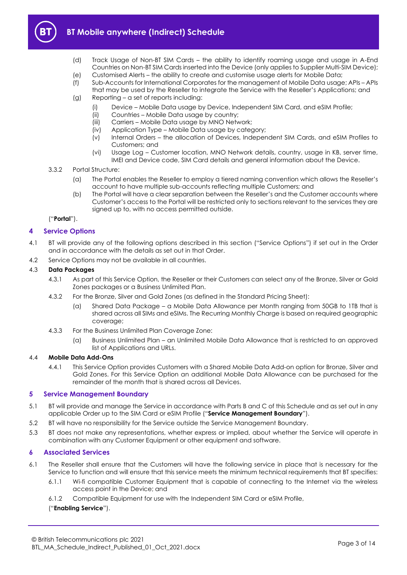

- (d) Track Usage of Non-BT SIM Cards the ability to identify roaming usage and usage in A-End Countries on Non-BT SIM Cards inserted into the Device (only applies to Supplier Multi-SIM Device);
- (e) Customised Alerts the ability to create and customise usage alerts for Mobile Data;
- (f) Sub-Accounts for International Corporates for the management of Mobile Data usage; APIs APIs that may be used by the Reseller to integrate the Service with the Reseller's Applications; and
- (g) Reporting a set of reports including:
	- (i) Device Mobile Data usage by Device, Independent SIM Card, and eSIM Profile;
	- (ii) Countries Mobile Data usage by country;
	- (iii) Carriers Mobile Data usage by MNO Network;
	- (iv) Application Type Mobile Data usage by category;
	- (v) Internal Orders the allocation of Devices, Independent SIM Cards, and eSIM Profiles to Customers; and
	- (vi) Usage Log Customer location, MNO Network details, country, usage in KB, server time, IMEI and Device code, SIM Card details and general information about the Device.
- 3.3.2 Portal Structure:
	- (a) The Portal enables the Reseller to employ a tiered naming convention which allows the Reseller's account to have multiple sub-accounts reflecting multiple Customers; and
	- (b) The Portal will have a clear separation between the Reseller's and the Customer accounts where Customer's access to the Portal will be restricted only to sections relevant to the services they are signed up to, with no access permitted outside.

("**Portal**").

# <span id="page-2-2"></span>**4 Service Options**

- 4.1 BT will provide any of the following options described in this section ("Service Options") if set out in the Order and in accordance with the details as set out in that Order.
- 4.2 Service Options may not be available in all countries.

# 4.3 **Data Packages**

- 4.3.1 As part of this Service Option, the Reseller or their Customers can select any of the Bronze, Silver or Gold Zones packages or a Business Unlimited Plan.
- 4.3.2 For the Bronze, Silver and Gold Zones (as defined in the Standard Pricing Sheet):
	- (a) Shared Data Package a Mobile Data Allowance per Month ranging from 50GB to 1TB that is shared across all SIMs and eSIMs. The Recurring Monthly Charge is based on required geographic coverage;
- 4.3.3 For the Business Unlimited Plan Coverage Zone:
	- (a) Business Unlimited Plan an Unlimited Mobile Data Allowance that is restricted to an approved list of Applications and URLs.

#### 4.4 **Mobile Data Add-Ons**

4.4.1 This Service Option provides Customers with a Shared Mobile Data Add-on option for Bronze, Silver and Gold Zones. For this Service Option an additional Mobile Data Allowance can be purchased for the remainder of the month that is shared across all Devices.

# **5 Service Management Boundary**

- <span id="page-2-1"></span>5.1 BT will provide and manage the Service in accordance with Parts B and C of this Schedule and as set out in any applicable Order up to the SIM Card or eSIM Profile ("**Service Management Boundary**").
- 5.2 BT will have no responsibility for the Service outside the Service Management Boundary.
- 5.3 BT does not make any representations, whether express or implied, about whether the Service will operate in combination with any Customer Equipment or other equipment and software.

#### **6 Associated Services**

- <span id="page-2-0"></span>6.1 The Reseller shall ensure that the Customers will have the following service in place that is necessary for the Service to function and will ensure that this service meets the minimum technical requirements that BT specifies:
	- 6.1.1 Wi-fi compatible Customer Equipment that is capable of connecting to the Internet via the wireless access point in the Device; and
	- 6.1.2 Compatible Equipment for use with the Independent SIM Card or eSIM Profile,

# ("**Enabling Service**").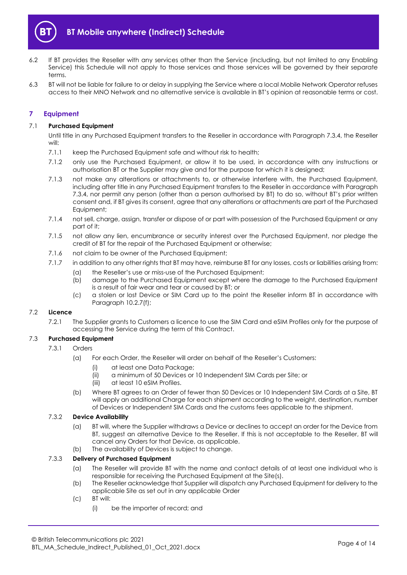

- 6.2 If BT provides the Reseller with any services other than the Service (including, but not limited to any Enabling Service) this Schedule will not apply to those services and those services will be governed by their separate terms.
- 6.3 BT will not be liable for failure to or delay in supplying the Service where a local Mobile Network Operator refuses access to their MNO Network and no alternative service is available in BT's opinion at reasonable terms or cost.

# **7 Equipment**

# 7.1 **Purchased Equipment**

Until title in any Purchased Equipment transfers to the Reseller in accordance with Paragraph [7.3.4,](#page-4-0) the Reseller will:

- 7.1.1 keep the Purchased Equipment safe and without risk to health;
- 7.1.2 only use the Purchased Equipment, or allow it to be used, in accordance with any instructions or authorisation BT or the Supplier may give and for the purpose for which it is designed;
- 7.1.3 not make any alterations or attachments to, or otherwise interfere with, the Purchased Equipment, including after title in any Purchased Equipment transfers to the Reseller in accordance with Paragraph [7.3.4](#page-4-0), nor permit any person (other than a person authorised by BT) to do so, without BT's prior written consent and, if BT gives its consent, agree that any alterations or attachments are part of the Purchased Equipment;
- 7.1.4 not sell, charge, assign, transfer or dispose of or part with possession of the Purchased Equipment or any part of it;
- 7.1.5 not allow any lien, encumbrance or security interest over the Purchased Equipment, nor pledge the credit of BT for the repair of the Purchased Equipment or otherwise;
- 7.1.6 not claim to be owner of the Purchased Equipment;
- 7.1.7 in addition to any other rights that BT may have, reimburse BT for any losses, costs or liabilities arising from:
	- (a) the Reseller's use or miss-use of the Purchased Equipment;
		- (b) damage to the Purchased Equipment except where the damage to the Purchased Equipment is a result of fair wear and tear or caused by BT; or
		- (c) a stolen or lost Device or SIM Card up to the point the Reseller inform BT in accordance with Paragraph [10.2.7\(f\);](#page-10-0)

# 7.2 **Licence**

7.2.1 The Supplier grants to Customers a licence to use the SIM Card and eSIM Profiles only for the purpose of accessing the Service during the term of this Contract.

# 7.3 **Purchased Equipment**

- 7.3.1 Orders
	- (a) For each Order, the Reseller will order on behalf of the Reseller's Customers:
		- (i) at least one Data Package;
		- (ii) a minimum of 50 Devices or 10 Independent SIM Cards per Site; or
		- (iii) at least 10 eSIM Profiles.
	- (b) Where BT agrees to an Order of fewer than 50 Devices or 10 Independent SIM Cards at a Site, BT will apply an additional Charge for each shipment according to the weight, destination, number of Devices or Independent SIM Cards and the customs fees applicable to the shipment.

# 7.3.2 **Device Availability**

- (a) BT will, where the Supplier withdraws a Device or declines to accept an order for the Device from BT, suggest an alternative Device to the Reseller. If this is not acceptable to the Reseller, BT will cancel any Orders for that Device, as applicable.
- (b) The availability of Devices is subject to change.

# 7.3.3 **Delivery of Purchased Equipment**

- (a) The Reseller will provide BT with the name and contact details of at least one individual who is responsible for receiving the Purchased Equipment at the Site(s).
- (b) The Reseller acknowledge that Supplier will dispatch any Purchased Equipment for delivery to the applicable Site as set out in any applicable Order
- (c) BT will:
	- (i) be the importer of record; and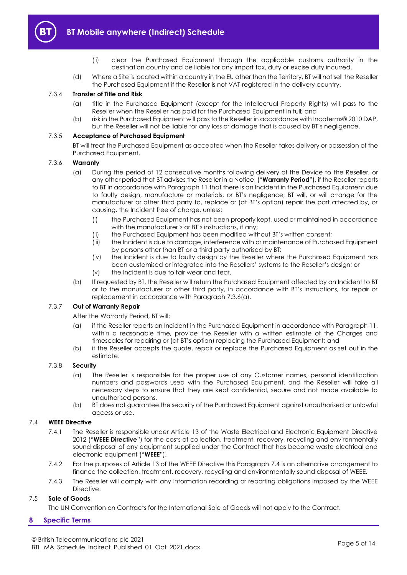

- (ii) clear the Purchased Equipment through the applicable customs authority in the destination country and be liable for any import tax, duty or excise duty incurred.
- (d) Where a Site is located within a country in the EU other than the Territory, BT will not sell the Reseller the Purchased Equipment if the Reseller is not VAT-registered in the delivery country.

#### <span id="page-4-0"></span>7.3.4 **Transfer of Title and Risk**

- (a) title in the Purchased Equipment (except for the Intellectual Property Rights) will pass to the Reseller when the Reseller has paid for the Purchased Equipment in full; and
- (b) risk in the Purchased Equipment will pass to the Reseller in accordance with Incoterms® 2010 DAP, but the Reseller will not be liable for any loss or damage that is caused by BT's negligence.

#### 7.3.5 **Acceptance of Purchased Equipment**

BT will treat the Purchased Equipment as accepted when the Reseller takes delivery or possession of the Purchased Equipment.

#### <span id="page-4-1"></span>7.3.6 **Warranty**

- (a) During the period of 12 consecutive months following delivery of the Device to the Reseller, or any other period that BT advises the Reseller in a Notice, ("**Warranty Period**"), if the Reseller reports to BT in accordance with Paragraph [11](#page-10-1) that there is an Incident in the Purchased Equipment due to faulty design, manufacture or materials, or BT's negligence, BT will, or will arrange for the manufacturer or other third party to, replace or (at BT's option) repair the part affected by, or causing, the Incident free of charge, unless:
	- (i) the Purchased Equipment has not been properly kept, used or maintained in accordance with the manufacturer's or BT's instructions, if any;
	- (ii) the Purchased Equipment has been modified without BT's written consent;
	- (iii) the Incident is due to damage, interference with or maintenance of Purchased Equipment by persons other than BT or a third party authorised by BT;
	- (iv) the Incident is due to faulty design by the Reseller where the Purchased Equipment has been customised or integrated into the Resellers' systems to the Reseller's design; or
	- (v) the Incident is due to fair wear and tear.
- (b) If requested by BT, the Reseller will return the Purchased Equipment affected by an Incident to BT or to the manufacturer or other third party, in accordance with BT's instructions, for repair or replacement in accordance with Paragraph [7.3.6\(a\).](#page-4-1)

#### 7.3.7 **Out of Warranty Repair**

After the Warranty Period, BT will:

- (a) if the Reseller reports an Incident in the Purchased Equipment in accordance with Paragraph [11,](#page-10-1)  within a reasonable time, provide the Reseller with a written estimate of the Charges and timescales for repairing or (at BT's option) replacing the Purchased Equipment; and
- (b) if the Reseller accepts the quote, repair or replace the Purchased Equipment as set out in the estimate.

#### 7.3.8 **Security**

- (a) The Reseller is responsible for the proper use of any Customer names, personal identification numbers and passwords used with the Purchased Equipment, and the Reseller will take all necessary steps to ensure that they are kept confidential, secure and not made available to unauthorised persons.
- (b) BT does not guarantee the security of the Purchased Equipment against unauthorised or unlawful access or use.

# <span id="page-4-3"></span><span id="page-4-2"></span>7.4 **WEEE Directive**

- 7.4.1 The Reseller is responsible under Article 13 of the Waste Electrical and Electronic Equipment Directive 2012 ("**WEEE Directive**") for the costs of collection, treatment, recovery, recycling and environmentally sound disposal of any equipment supplied under the Contract that has become waste electrical and electronic equipment ("**WEEE**").
- <span id="page-4-4"></span>7.4.2 For the purposes of Article 13 of the WEEE Directive this Paragraph [7.4](#page-4-2) is an alternative arrangement to finance the collection, treatment, recovery, recycling and environmentally sound disposal of WEEE.
- 7.4.3 The Reseller will comply with any information recording or reporting obligations imposed by the WEEE Directive.

# 7.5 **Sale of Goods**

The UN Convention on Contracts for the International Sale of Goods will not apply to the Contract.

#### **8 Specific Terms**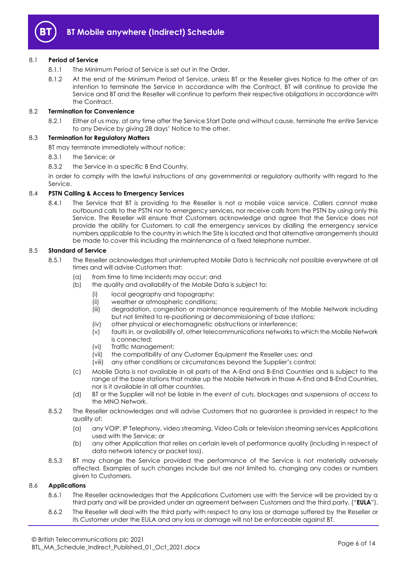

# 8.1 **Period of Service**

- 8.1.1 The Minimum Period of Service is set out in the Order.
- 8.1.2 At the end of the Minimum Period of Service, unless BT or the Reseller gives Notice to the other of an intention to terminate the Service in accordance with the Contract, BT will continue to provide the Service and BT and the Reseller will continue to perform their respective obligations in accordance with the Contract.

# 8.2 **Termination for Convenience**

8.2.1 Either of us may, at any time after the Service Start Date and without cause, terminate the entire Service to any Device by giving 28 days' Notice to the other.

#### 8.3 **Termination for Regulatory Matters**

BT may terminate immediately without notice:

- 8.3.1 the Service; or
- 8.3.2 the Service in a specific B End Country,

in order to comply with the lawful instructions of any governmental or regulatory authority with regard to the Service.

# 8.4 **PSTN Calling & Access to Emergency Services**

8.4.1 The Service that BT is providing to the Reseller is not a mobile voice service. Callers cannot make outbound calls to the PSTN nor to emergency services, nor receive calls from the PSTN by using only this Service. The Reseller will ensure that Customers acknowledge and agree that the Service does not provide the ability for Customers to call the emergency services by dialling the emergency service numbers applicable to the country in which the Site is located and that alternative arrangements should be made to cover this including the maintenance of a fixed telephone number.

#### 8.5 **Standard of Service**

- 8.5.1 The Reseller acknowledges that uninterrupted Mobile Data is technically not possible everywhere at all times and will advise Customers that:
	- (a) from time to time Incidents may occur; and
	- (b) the quality and availability of the Mobile Data is subject to:
		- (i) local geography and topography;
		- (ii) weather or atmospheric conditions;
		- (iii) degradation, congestion or maintenance requirements of the Mobile Network including but not limited to re-positioning or decommissioning of base stations;
		- (iv) other physical or electromagnetic obstructions or interference;
		- (v) faults in, or availability of, other telecommunications networks to which the Mobile Network is connected;
		- (vi) Traffic Management;
		- (vii) the compatibility of any Customer Equipment the Reseller uses; and
		- (viii) any other conditions or circumstances beyond the Supplier's control;
	- (c) Mobile Data is not available in all parts of the A-End and B-End Countries and is subject to the range of the base stations that make up the Mobile Network in those A-End and B-End Countries, nor is it available in all other countries.
	- (d) BT or the Supplier will not be liable in the event of cuts, blockages and suspensions of access to the MNO Network.
- 8.5.2 The Reseller acknowledges and will advise Customers that no guarantee is provided in respect to the quality of:
	- (a) any VOIP, IP Telephony, video streaming, Video Calls or television streaming services Applications used with the Service; or
	- (b) any other Application that relies on certain levels of performance quality (including in respect of data network latency or packet loss).
- 8.5.3 BT may change the Service provided the performance of the Service is not materially adversely affected. Examples of such changes include but are not limited to, changing any codes or numbers given to Customers.

#### <span id="page-5-0"></span>8.6 **Applications**

- 8.6.1 The Reseller acknowledges that the Applications Customers use with the Service will be provided by a third party and will be provided under an agreement between Customers and the third party, ("**EULA**").
- 8.6.2 The Reseller will deal with the third party with respect to any loss or damage suffered by the Reseller or its Customer under the EULA and any loss or damage will not be enforceable against BT.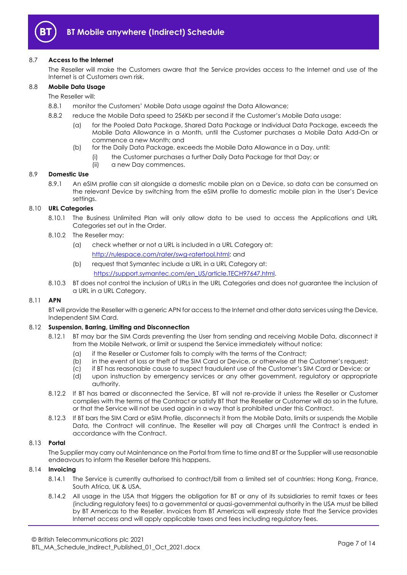

# 8.7 **Access to the Internet**

The Reseller will make the Customers aware that the Service provides access to the Internet and use of the Internet is at Customers own risk.

# 8.8 **Mobile Data Usage**

The Reseller will:

- 8.8.1 monitor the Customers' Mobile Data usage against the Data Allowance;
- 8.8.2 reduce the Mobile Data speed to 256Kb per second if the Customer's Mobile Data usage:
	- (a) for the Pooled Data Package, Shared Data Package or Individual Data Package, exceeds the Mobile Data Allowance in a Month, until the Customer purchases a Mobile Data Add-On or commence a new Month; and
	- (b) for the Daily Data Package, exceeds the Mobile Data Allowance in a Day, until:
		- (i) the Customer purchases a further Daily Data Package for that Day; or
			- (ii) a new Day commences.

#### 8.9 **Domestic Use**

8.9.1 An eSIM profile can sit alongside a domestic mobile plan on a Device, so data can be consumed on the relevant Device by switching from the eSIM profile to domestic mobile plan in the User's Device settings.

# 8.10 **URL Categories**

- 8.10.1 The Business Unlimited Plan will only allow data to be used to access the Applications and URL Categories set out in the Order.
- 8.10.2 The Reseller may:
	- (a) check whether or not a URL is included in a URL Category at: [http://rulespace.com/rater/swg-ratertool.html;](http://rulespace.com/rater/swg-ratertool.html) and
	- (b) request that Symantec include a URL in a URL Category at: [https://support.symantec.com/en\\_US/article.TECH97647.html.](https://support.symantec.com/en_US/article.TECH97647.html)
- 8.10.3 BT does not control the inclusion of URLs in the URL Categories and does not guarantee the inclusion of a URL in a URL Category.

#### 8.11 **APN**

BT will provide the Reseller with a generic APN for access to the Internet and other data services using the Device, Independent SIM Card.

#### <span id="page-6-1"></span>8.12 **Suspension, Barring, Limiting and Disconnection**

- 8.12.1 BT may bar the SIM Cards preventing the User from sending and receiving Mobile Data, disconnect it from the Mobile Network, or limit or suspend the Service immediately without notice:
	- (a) if the Reseller or Customer fails to comply with the terms of the Contract;
	- (b) in the event of loss or theft of the SIM Card or Device, or otherwise at the Customer's request;
	- (c) if BT has reasonable cause to suspect fraudulent use of the Customer's SIM Card or Device; or
	- (d) upon instruction by emergency services or any other government, regulatory or appropriate authority.
- 8.12.2 If BT has barred or disconnected the Service, BT will not re-provide it unless the Reseller or Customer complies with the terms of the Contract or satisfy BT that the Reseller or Customer will do so in the future, or that the Service will not be used again in a way that is prohibited under this Contract.
- 8.12.3 If BT bars the SIM Card or eSIM Profile, disconnects it from the Mobile Data, limits or suspends the Mobile Data, the Contract will continue. The Reseller will pay all Charges until the Contract is ended in accordance with the Contract.

#### 8.13 **Portal**

The Supplier may carry out Maintenance on the Portal from time to time and BT or the Supplier will use reasonable endeavours to inform the Reseller before this happens.

#### <span id="page-6-0"></span>8.14 **Invoicing**

- 8.14.1 The Service is currently authorised to contract/bill from a limited set of countries: Hong Kong, France, South Africa, UK & USA.
- 8.14.2 All usage in the USA that triggers the obligation for BT or any of its subsidiaries to remit taxes or fees (including regulatory fees) to a governmental or quasi-governmental authority in the USA must be billed by BT Americas to the Reseller. Invoices from BT Americas will expressly state that the Service provides Internet access and will apply applicable taxes and fees including regulatory fees.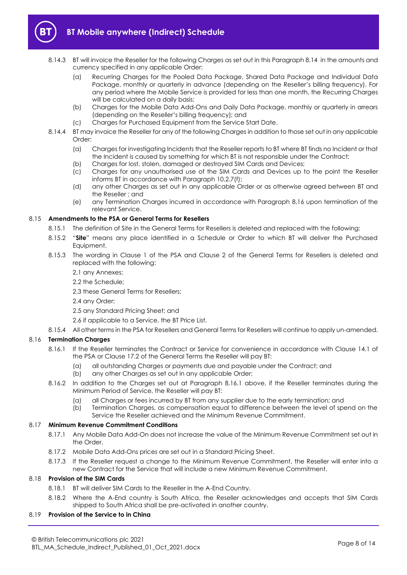

- 8.14.3 BT will invoice the Reseller for the following Charges as set out in this Paragraph [8.14](#page-6-0) in the amounts and currency specified in any applicable Order:
	- (a) Recurring Charges for the Pooled Data Package, Shared Data Package and Individual Data Package, monthly or quarterly in advance (depending on the Reseller's billing frequency). For any period where the Mobile Service is provided for less than one month, the Recurring Charges will be calculated on a daily basis;
	- (b) Charges for the Mobile Data Add-Ons and Daily Data Package, monthly or quarterly in arrears (depending on the Reseller's billing frequency); and
	- (c) Charges for Purchased Equipment from the Service Start Date.
- 8.14.4 BT may invoice the Reseller for any of the following Charges in addition to those set out in any applicable Order:
	- (a) Charges for investigating Incidents that the Reseller reports to BT where BT finds no Incident or that the Incident is caused by something for which BT is not responsible under the Contract;
	- (b) Charges for lost, stolen, damaged or destroyed SIM Cards and Devices;
	- (c) Charges for any unauthorised use of the SIM Cards and Devices up to the point the Reseller informs BT in accordance with Paragraph [10.2.7\(f\);](#page-10-0)
	- (d) any other Charges as set out in any applicable Order or as otherwise agreed between BT and the Reseller ; and
	- (e) any Termination Charges incurred in accordance with Paragraph [8.16](#page-7-0) upon termination of the relevant Service.

# 8.15 **Amendments to the PSA or General Terms for Resellers**

- 8.15.1 The definition of Site in the General Terms for Resellers is deleted and replaced with the following:
- 8.15.2 "**Site**" means any place identified in a Schedule or Order to which BT will deliver the Purchased Equipment.
- 8.15.3 The wording in Clause 1 of the PSA and Clause 2 of the General Terms for Resellers is deleted and replaced with the following:
	- 2.1 any Annexes;
	- 2.2 the Schedule;
	- 2.3 these General Terms for Resellers;
	- 2.4 any Order;
	- 2.5 any Standard Pricing Sheet; and
	- 2.6 if applicable to a Service, the BT Price List.
- 8.15.4 All other terms in the PSA for Resellers and General Terms for Resellers will continue to apply un-amended.

# <span id="page-7-1"></span><span id="page-7-0"></span>8.16 **Termination Charges**

- 8.16.1 If the Reseller terminates the Contract or Service for convenience in accordance with Clause 14.1 of the PSA or Clause 17.2 of the General Terms the Reseller will pay BT:
	- (a) all outstanding Charges or payments due and payable under the Contract; and
	- (b) any other Charges as set out in any applicable Order;
- 8.16.2 In addition to the Charges set out at Paragraph [8.16.1](#page-7-1) above, if the Reseller terminates during the Minimum Period of Service, the Reseller will pay BT:
	- (a) all Charges or fees incurred by BT from any supplier due to the early termination; and
	- (b) Termination Charges, as compensation equal to difference between the level of spend on the Service the Reseller achieved and the Minimum Revenue Commitment.

#### 8.17 **Minimum Revenue Commitment Conditions**

- 8.17.1 Any Mobile Data Add-On does not increase the value of the Minimum Revenue Commitment set out in the Order.
- 8.17.2 Mobile Data Add-Ons prices are set out in a Standard Pricing Sheet.
- 8.17.3 If the Reseller request a change to the Minimum Revenue Commitment, the Reseller will enter into a new Contract for the Service that will include a new Minimum Revenue Commitment.

#### <span id="page-7-2"></span>8.18 **Provision of the SIM Cards**

- 8.18.1 BT will deliver SIM Cards to the Reseller in the A-End Country.
- 8.18.2 Where the A-End country is South Africa, the Reseller acknowledges and accepts that SIM Cards shipped to South Africa shall be pre-activated in another country.

# 8.19 **Provision of the Service to in China**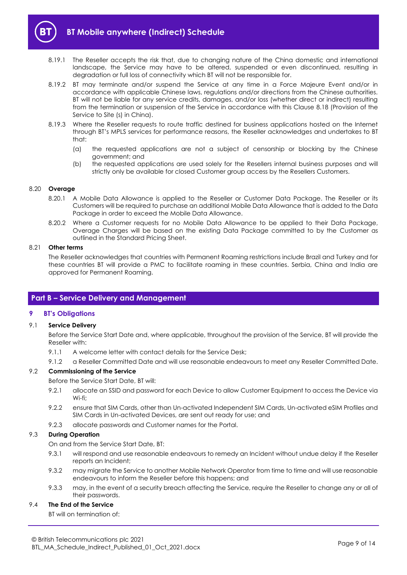

- 8.19.1 The Reseller accepts the risk that, due to changing nature of the China domestic and international landscape, the Service may have to be altered, suspended or even discontinued, resulting in degradation or full loss of connectivity which BT will not be responsible for.
- 8.19.2 BT may terminate and/or suspend the Service at any time in a Force Majeure Event and/or in accordance with applicable Chinese laws, regulations and/or directions from the Chinese authorities. BT will not be liable for any service credits, damages, and/or loss (whether direct or indirect) resulting from the termination or suspension of the Service in accordance with this Clause [8.18](#page-7-2) (Provision of the Service to Site (s) in China).
- 8.19.3 Where the Reseller requests to route traffic destined for business applications hosted on the Internet through BT's MPLS services for performance reasons, the Reseller acknowledges and undertakes to BT that:
	- (a) the requested applications are not a subject of censorship or blocking by the Chinese government; and
	- (b) the requested applications are used solely for the Resellers internal business purposes and will strictly only be available for closed Customer group access by the Resellers Customers.

## 8.20 **Overage**

- 8.20.1 A Mobile Data Allowance is applied to the Reseller or Customer Data Package. The Reseller or its Customers will be required to purchase an additional Mobile Data Allowance that is added to the Data Package in order to exceed the Mobile Data Allowance.
- 8.20.2 Where a Customer requests for no Mobile Data Allowance to be applied to their Data Package, Overage Charges will be based on the existing Data Package committed to by the Customer as outlined in the Standard Pricing Sheet.

#### 8.21 **Other terms**

The Reseller acknowledges that countries with Permanent Roaming restrictions include Brazil and Turkey and for these countries BT will provide a PMC to facilitate roaming in these countries. Serbia, China and India are approved for Permanent Roaming.

# <span id="page-8-0"></span>**Part B – Service Delivery and Management**

# **9 BT's Obligations**

# 9.1 **Service Delivery**

Before the Service Start Date and, where applicable, throughout the provision of the Service, BT will provide the Reseller with:

- 9.1.1 A welcome letter with contact details for the Service Desk;
- 9.1.2 a Reseller Committed Date and will use reasonable endeavours to meet any Reseller Committed Date.

#### 9.2 **Commissioning of the Service**

Before the Service Start Date, BT will:

- 9.2.1 allocate an SSID and password for each Device to allow Customer Equipment to access the Device via Wi-fi;
- 9.2.2 ensure that SIM Cards, other than Un-activated Independent SIM Cards, Un-activated eSIM Profiles and SIM Cards in Un-activated Devices, are sent out ready for use; and
- 9.2.3 allocate passwords and Customer names for the Portal.

#### 9.3 **During Operation**

On and from the Service Start Date, BT:

- 9.3.1 will respond and use reasonable endeavours to remedy an Incident without undue delay if the Reseller reports an Incident;
- 9.3.2 may migrate the Service to another Mobile Network Operator from time to time and will use reasonable endeavours to inform the Reseller before this happens; and
- 9.3.3 may, in the event of a security breach affecting the Service, require the Reseller to change any or all of their passwords.

# 9.4 **The End of the Service**

BT will on termination of: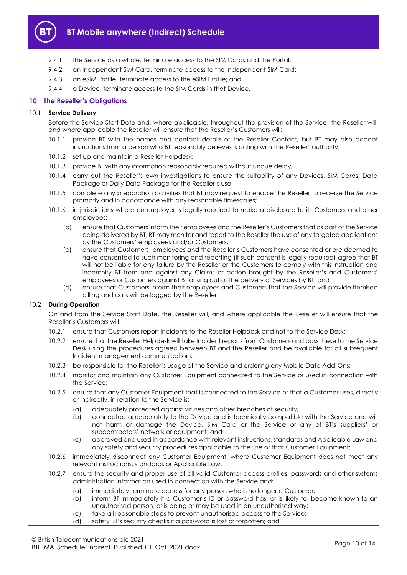

- 9.4.1 the Service as a whole, terminate access to the SIM Cards and the Portal;
- 9.4.2 an Independent SIM Card, terminate access to the Independent SIM Card;
- 9.4.3 an eSIM Profile, terminate access to the eSIM Profile; and
- 9.4.4 a Device, terminate access to the SIM Cards in that Device.

# **10 The Reseller's Obligations**

# 10.1 **Service Delivery**

Before the Service Start Date and, where applicable, throughout the provision of the Service, the Reseller will, and where applicable the Reseller will ensure that the Reseller's Customers will:

- 10.1.1 provide BT with the names and contact details of the Reseller Contact, but BT may also accept instructions from a person who BT reasonably believes is acting with the Reseller' authority;
- 10.1.2 set up and maintain a Reseller Helpdesk;
- 10.1.3 provide BT with any information reasonably required without undue delay;
- 10.1.4 carry out the Reseller's own investigations to ensure the suitability of any Devices, SIM Cards, Data Package or Daily Data Package for the Reseller's use;
- 10.1.5 complete any preparation activities that BT may request to enable the Reseller to receive the Service promptly and in accordance with any reasonable timescales;
- 10.1.6 in jurisdictions where an employer is legally required to make a disclosure to its Customers and other employees:
	- (b) ensure that Customers inform their employees and the Reseller's Customers that as part of the Service being delivered by BT, BT may monitor and report to the Reseller the use of any targeted applications by the Customers' employees and/or Customers;
	- (c) ensure that Customers' employees and the Reseller's Customers have consented or are deemed to have consented to such monitoring and reporting (if such consent is legally required) agree that BT will not be liable for any failure by the Reseller or the Customers to comply with this instruction and indemnify BT from and against any Claims or action brought by the Reseller's and Customers' employees or Customers against BT arising out of the delivery of Services by BT; and
	- (d) ensure that Customers inform their employees and Customers that the Service will provide itemised billing and calls will be logged by the Reseller.

# 10.2 **During Operation**

On and from the Service Start Date, the Reseller will, and where applicable the Reseller will ensure that the Reseller's Customers will:

- 10.2.1 ensure that Customers report Incidents to the Reseller Helpdesk and not to the Service Desk;
- 10.2.2 ensure that the Reseller Helpdesk will take Incident reports from Customers and pass these to the Service Desk using the procedures agreed between BT and the Reseller and be available for all subsequent Incident management communications;
- 10.2.3 be responsible for the Reseller's usage of the Service and ordering any Mobile Data Add-Ons;
- 10.2.4 monitor and maintain any Customer Equipment connected to the Service or used in connection with the Service;
- 10.2.5 ensure that any Customer Equipment that is connected to the Service or that a Customer uses, directly or indirectly, in relation to the Service is:
	- (a) adequately protected against viruses and other breaches of security;
	- (b) connected appropriately to the Device and is technically compatible with the Service and will not harm or damage the Device, SIM Card or the Service or any of BT's suppliers' or subcontractors' network or equipment; and
	- (c) approved and used in accordance with relevant instructions, standards and Applicable Law and any safety and security procedures applicable to the use of that Customer Equipment;
- 10.2.6 immediately disconnect any Customer Equipment, where Customer Equipment does not meet any relevant instructions, standards or Applicable Law;
- 10.2.7 ensure the security and proper use of all valid Customer access profiles, passwords and other systems administration information used in connection with the Service and:
	- (a) immediately terminate access for any person who is no longer a Customer;
	- (b) inform BT immediately if a Customer's ID or password has, or is likely to, become known to an unauthorised person, or is being or may be used in an unauthorised way;
	- (c) take all reasonable steps to prevent unauthorised access to the Service;
	- (d) satisfy BT's security checks if a password is lost or forgotten; and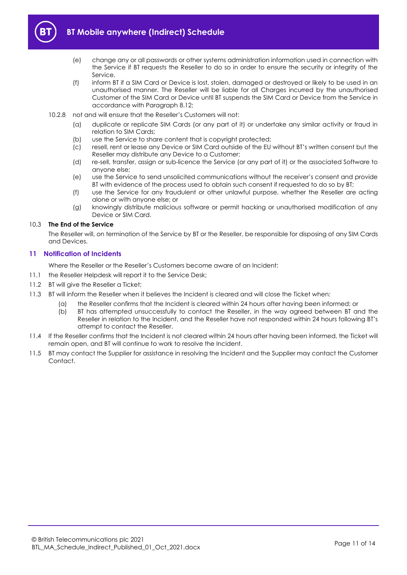

- (e) change any or all passwords or other systems administration information used in connection with the Service if BT requests the Reseller to do so in order to ensure the security or integrity of the Service.
- (f) inform BT if a SIM Card or Device is lost, stolen, damaged or destroyed or likely to be used in an unauthorised manner. The Reseller will be liable for all Charges incurred by the unauthorised Customer of the SIM Card or Device until BT suspends the SIM Card or Device from the Service in accordance with Paragrap[h 8.12;](#page-6-1)
- <span id="page-10-0"></span>10.2.8 not and will ensure that the Reseller's Customers will not:
	- (a) duplicate or replicate SIM Cards (or any part of it) or undertake any similar activity or fraud in relation to SIM Cards;
	- (b) use the Service to share content that is copyright protected;
	- (c) resell, rent or lease any Device or SIM Card outside of the EU without BT's written consent but the Reseller may distribute any Device to a Customer;
	- (d) re-sell, transfer, assign or sub-licence the Service (or any part of it) or the associated Software to anyone else;
	- (e) use the Service to send unsolicited communications without the receiver's consent and provide BT with evidence of the process used to obtain such consent if requested to do so by BT;
	- (f) use the Service for any fraudulent or other unlawful purpose, whether the Reseller are acting alone or with anyone else; or
	- (g) knowingly distribute malicious software or permit hacking or unauthorised modification of any Device or SIM Card.

#### 10.3 **The End of the Service**

The Reseller will, on termination of the Service by BT or the Reseller, be responsible for disposing of any SIM Cards and Devices.

# <span id="page-10-1"></span>**11 Notification of Incidents**

Where the Reseller or the Reseller's Customers become aware of an Incident:

- 11.1 the Reseller Helpdesk will report it to the Service Desk;
- 11.2 BT will give the Reseller a Ticket;
- 11.3 BT will inform the Reseller when it believes the Incident is cleared and will close the Ticket when:
	- (a) the Reseller confirms that the Incident is cleared within 24 hours after having been informed; or
		- (b) BT has attempted unsuccessfully to contact the Reseller, in the way agreed between BT and the Reseller in relation to the Incident, and the Reseller have not responded within 24 hours following BT's attempt to contact the Reseller.
- 11.4 If the Reseller confirms that the Incident is not cleared within 24 hours after having been informed, the Ticket will remain open, and BT will continue to work to resolve the Incident.
- 11.5 BT may contact the Supplier for assistance in resolving the Incident and the Supplier may contact the Customer Contact.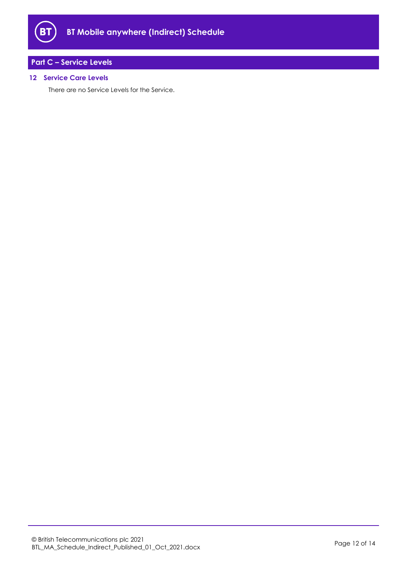

# <span id="page-11-0"></span>**Part C – Service Levels**

# **12 Service Care Levels**

There are no Service Levels for the Service.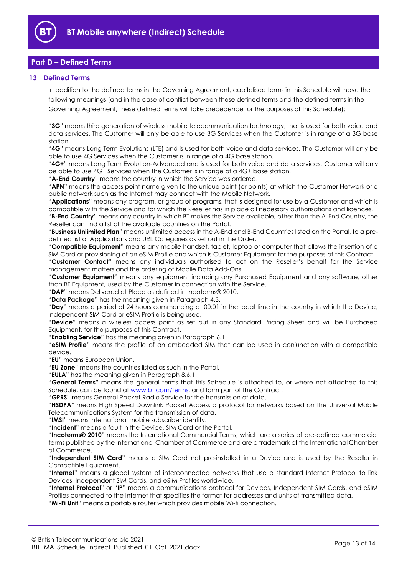

# <span id="page-12-0"></span>**Part D – Defined Terms**

# **13 Defined Terms**

In addition to the defined terms in the Governing Agreement, capitalised terms in this Schedule will have the following meanings (and in the case of conflict between these defined terms and the defined terms in the Governing Agreement, these defined terms will take precedence for the purposes of this Schedule):

"**3G**" means third generation of wireless mobile telecommunication technology, that is used for both voice and data services. The Customer will only be able to use 3G Services when the Customer is in range of a 3G base station.

"**4G**" means Long Term Evolutions (LTE) and is used for both voice and data services. The Customer will only be able to use 4G Services when the Customer is in range of a 4G base station.

"**4G+**" means Long Term Evolution-Advanced and is used for both voice and data services. Customer will only be able to use 4G+ Services when the Customer is in range of a 4G+ base station.

"**A-End Country**" means the country in which the Service was ordered.

"**APN**" means the access point name given to the unique point (or points) at which the Customer Network or a public network such as the Internet may connect with the Mobile Network.

"**Applications**" means any program, or group of programs, that is designed for use by a Customer and which is compatible with the Service and for which the Reseller has in place all necessary authorisations and licences.

"**B-End Country**" means any country in which BT makes the Service available, other than the A-End Country, the Reseller can find a list of the available countries on the Portal.

"**Business Unlimited Plan**" means unlimited access in the A-End and B-End Countries listed on the Portal, to a predefined list of Applications and URL Categories as set out in the Order.

"**Compatible Equipment**" means any mobile handset, tablet, laptop or computer that allows the insertion of a SIM Card or provisioning of an eSIM Profile and which is Customer Equipment for the purposes of this Contract.

"**Customer Contact**" means any individuals authorised to act on the Reseller's behalf for the Service management matters and the ordering of Mobile Data Add-Ons.

"**Customer Equipment**" means any equipment including any Purchased Equipment and any software, other than BT Equipment, used by the Customer in connection with the Service.

"**DAP**" means Delivered at Place as defined in Incoterms® 2010.

"**Data Package**" has the meaning given in Paragraph 4.3.

"**Day**" means a period of 24 hours commencing at 00:01 in the local time in the country in which the Device, Independent SIM Card or eSIM Profile is being used.

"**Device**" means a wireless access point as set out in any Standard Pricing Sheet and will be Purchased Equipment, for the purposes of this Contract.

"**Enabling Service**" has the meaning given in Paragraph [6.1.](#page-2-0)

"**eSIM Profile**" means the profile of an embedded SIM that can be used in conjunction with a compatible device.

"**EU**" means European Union.

"**EU Zone**" means the countries listed as such in the Portal.

"**EULA**" has the meaning given in Paragraph [8.6.1.](#page-5-0)

"**General Terms**" means the general terms that this Schedule is attached to, or where not attached to this Schedule, can be found at [www.bt.com/terms,](http://www.bt.com/terms) and form part of the Contract.

"**GPRS**" means General Packet Radio Service for the transmission of data.

"**HSDPA**" means High Speed Downlink Packet Access a protocol for networks based on the Universal Mobile Telecommunications System for the transmission of data.

"**IMSI**" means international mobile subscriber identity.

"**Incident**" means a fault in the Device, SIM Card or the Portal.

"**Incoterms® 2010**" means the International Commercial Terms, which are a series of pre-defined commercial terms published by the International Chamber of Commerce and are a trademark of the International Chamber of Commerce.

"**Independent SIM Card**" means a SIM Card not pre-installed in a Device and is used by the Reseller in Compatible Equipment.

"**Internet**" means a global system of interconnected networks that use a standard Internet Protocol to link Devices, Independent SIM Cards, and eSIM Profiles worldwide.

"**Internet Protocol**" or "**IP**" means a communications protocol for Devices, Independent SIM Cards, and eSIM Profiles connected to the Internet that specifies the format for addresses and units of transmitted data.

"**Mi-Fi Unit**" means a portable router which provides mobile Wi-fi connection.